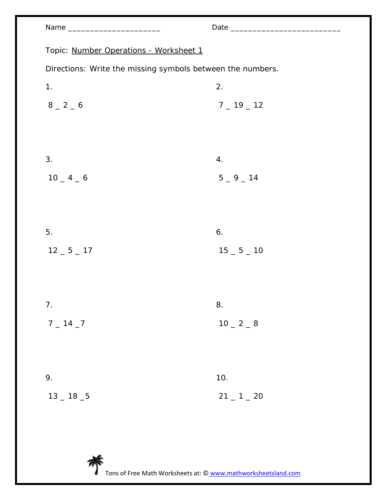| am<br>J |  |
|---------|--|
|---------|--|

|                                                            | <u> 1970 - Jan Jawa</u> |  |
|------------------------------------------------------------|-------------------------|--|
| Topic: Number Operations - Worksheet 1                     |                         |  |
| Directions: Write the missing symbols between the numbers. |                         |  |
| 1.                                                         | 2.                      |  |
| $8 - 2 - 6$                                                | $7 - 19 - 12$           |  |
|                                                            |                         |  |
|                                                            |                         |  |
| 3.                                                         | 4.                      |  |
| $10 - 4 - 6$                                               | $5 - 9 - 14$            |  |
|                                                            |                         |  |
|                                                            |                         |  |
| 5.                                                         | 6.                      |  |
| $12 - 5 - 17$                                              | $15 - 5 - 10$           |  |
|                                                            |                         |  |
|                                                            |                         |  |
| 7.                                                         | 8.                      |  |
| $7 - 14 - 7$                                               | $10 - 2 - 8$            |  |
|                                                            |                         |  |
|                                                            |                         |  |
| 9.                                                         | 10.                     |  |
| $13 - 18 - 5$                                              | $21 - 1 - 20$           |  |
|                                                            |                         |  |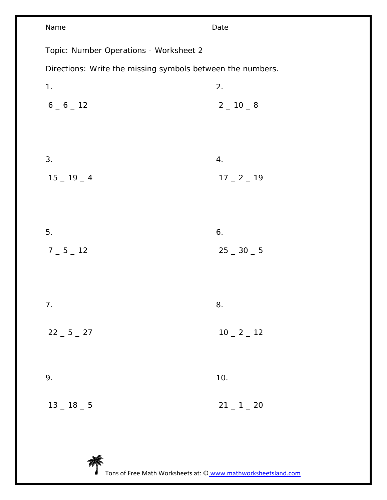| Topic: Number Operations - Worksheet 2                     |               |
|------------------------------------------------------------|---------------|
| Directions: Write the missing symbols between the numbers. |               |
| 1.                                                         | 2.            |
| $6 - 6 - 12$                                               | $2 - 10 - 8$  |
|                                                            |               |
|                                                            |               |
| 3.                                                         | 4.            |
| $15 - 19 - 4$                                              | $17 - 2 - 19$ |
|                                                            |               |
|                                                            |               |
| 5.                                                         | 6.            |
| $7 - 5 - 12$                                               | $25 - 30 - 5$ |
|                                                            |               |
|                                                            |               |
| 7.                                                         | 8.            |

 $22 - 5 - 27$  $10 - 2 - 12$ 

| 9.                  | 10.           |  |
|---------------------|---------------|--|
| $13\,\_\,18\,\_\,5$ | $21 - 1 - 20$ |  |

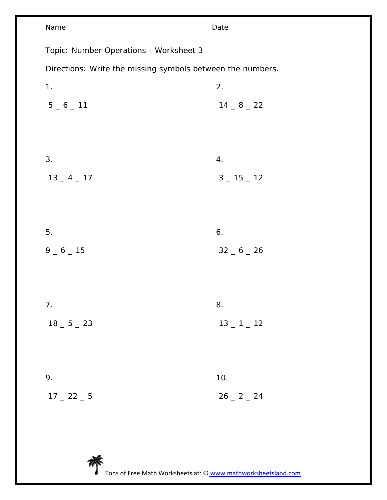| Name ___________________________                           |               |  |  |
|------------------------------------------------------------|---------------|--|--|
|                                                            |               |  |  |
| Topic: Number Operations - Worksheet 3                     |               |  |  |
| Directions: Write the missing symbols between the numbers. |               |  |  |
| 1.                                                         | 2.            |  |  |
| $5 - 6 - 11$                                               | $14 - 8 - 22$ |  |  |
|                                                            |               |  |  |
|                                                            |               |  |  |
| 3.                                                         | 4.            |  |  |
| $13 - 4 - 17$                                              | $3 - 15 - 12$ |  |  |
|                                                            |               |  |  |
|                                                            |               |  |  |
|                                                            |               |  |  |
| 5.                                                         | 6.            |  |  |
| $9 - 6 - 15$                                               | $32 - 6 - 26$ |  |  |
|                                                            |               |  |  |
|                                                            |               |  |  |
| 7 <sub>1</sub>                                             | 8.            |  |  |
| $18 - 5 - 23$                                              | $13 - 1 - 12$ |  |  |
|                                                            |               |  |  |
|                                                            |               |  |  |
| 9.                                                         | 10.           |  |  |
| $17 - 22 - 5$                                              | $26 - 2 - 24$ |  |  |
|                                                            |               |  |  |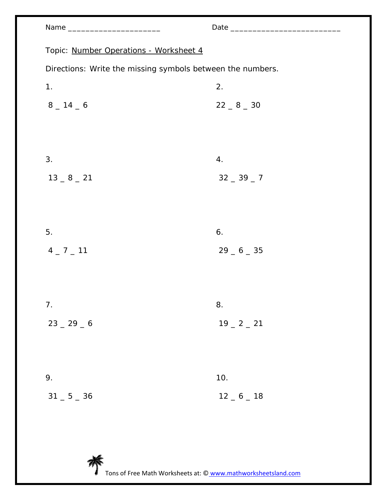| Name __________________________                            |               |
|------------------------------------------------------------|---------------|
| Topic: Number Operations - Worksheet 4                     |               |
| Directions: Write the missing symbols between the numbers. |               |
| 1.                                                         | 2.            |
| $8 - 14 - 6$                                               | $22 - 8 - 30$ |
|                                                            |               |
|                                                            |               |
| 3.                                                         | 4.            |
| $13 - 8 - 21$                                              | $32 - 39 - 7$ |
|                                                            |               |
|                                                            |               |
| 5.                                                         | 6.            |
| $4 - 7 - 11$                                               | $29 - 6 - 35$ |
|                                                            |               |
|                                                            |               |
| 7.                                                         | 8.            |
| $23 - 29 - 6$                                              | $19 - 2 - 21$ |
|                                                            |               |
|                                                            |               |
| 9.                                                         | 10.           |
| $31 = 5 = 36$                                              | $12 - 6 - 18$ |

芥 Tons of Free Math Worksheets at: © www.mathworksheetsland.com